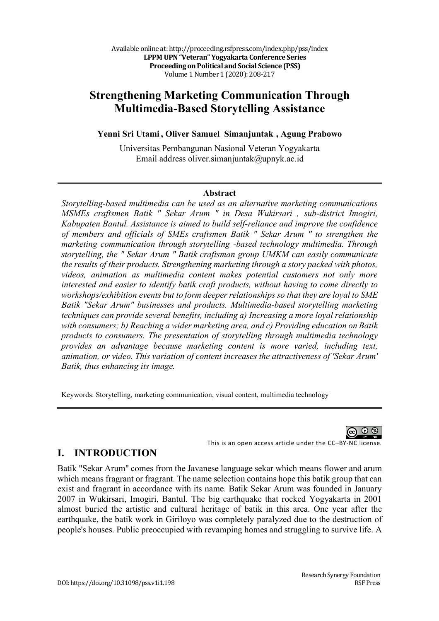Available online at: http://proceeding.rsfpress.com/index.php/pss/index **LPPM UPN "Veteran" Yogyakarta Conference Series Proceeding on Political and Social Science (PSS)** Volume 1 Number 1 (2020): 208-217

# **Strengthening Marketing Communication Through Multimedia-Based Storytelling Assistance**

**Yenni Sri Utami , Oliver Samuel Simanjuntak , Agung Prabowo** 

Universitas Pembangunan Nasional Veteran Yogyakarta Email address oliver.simanjuntak@upnyk.ac.id

#### **Abstract**

*Storytelling-based multimedia can be used as an alternative marketing communications MSMEs craftsmen Batik " Sekar Arum " in Desa Wukirsari , sub-district Imogiri, Kabupaten Bantul. Assistance is aimed to build self-reliance and improve the confidence of members and officials of SMEs craftsmen Batik " Sekar Arum " to strengthen the marketing communication through storytelling -based technology multimedia. Through storytelling, the " Sekar Arum " Batik craftsman group UMKM can easily communicate the results of their products. Strengthening marketing through a story packed with photos, videos, animation as multimedia content makes potential customers not only more interested and easier to identify batik craft products, without having to come directly to workshops/exhibition events but to form deeper relationships so that they are loyal to SME Batik "Sekar Arum" businesses and products. Multimedia-based storytelling marketing techniques can provide several benefits, including a) Increasing a more loyal relationship with consumers; b) Reaching a wider marketing area, and c) Providing education on Batik products to consumers. The presentation of storytelling through multimedia technology provides an advantage because marketing content is more varied, including text, animation, or video. This variation of content increases the attractiveness of 'Sekar Arum' Batik, thus enhancing its image.*

Keywords: Storytelling, marketing communication, visual content, multimedia technology



This is an open access article under the CC–BY-NC license. **I. INTRODUCTION**

Batik "Sekar Arum" comes from the Javanese language sekar which means flower and arum which means fragrant or fragrant. The name selection contains hope this batik group that can exist and fragrant in accordance with its name. Batik Sekar Arum was founded in January 2007 in Wukirsari, Imogiri, Bantul. The big earthquake that rocked Yogyakarta in 2001 almost buried the artistic and cultural heritage of batik in this area. One year after the earthquake, the batik work in Giriloyo was completely paralyzed due to the destruction of people's houses. Public preoccupied with revamping homes and struggling to survive life. A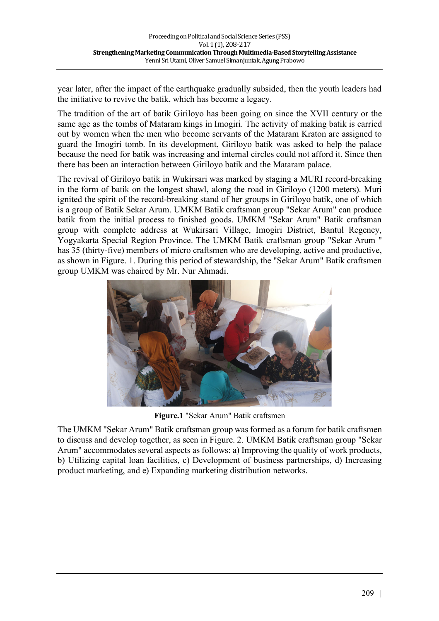year later, after the impact of the earthquake gradually subsided, then the youth leaders had the initiative to revive the batik, which has become a legacy.

The tradition of the art of batik Giriloyo has been going on since the XVII century or the same age as the tombs of Mataram kings in Imogiri. The activity of making batik is carried out by women when the men who become servants of the Mataram Kraton are assigned to guard the Imogiri tomb. In its development, Giriloyo batik was asked to help the palace because the need for batik was increasing and internal circles could not afford it. Since then there has been an interaction between Giriloyo batik and the Mataram palace.

The revival of Giriloyo batik in Wukirsari was marked by staging a MURI record-breaking in the form of batik on the longest shawl, along the road in Giriloyo (1200 meters). Muri ignited the spirit of the record-breaking stand of her groups in Giriloyo batik, one of which is a group of Batik Sekar Arum. UMKM Batik craftsman group "Sekar Arum" can produce batik from the initial process to finished goods. UMKM "Sekar Arum" Batik craftsman group with complete address at Wukirsari Village, Imogiri District, Bantul Regency, Yogyakarta Special Region Province. The UMKM Batik craftsman group "Sekar Arum " has 35 (thirty-five) members of micro craftsmen who are developing, active and productive, as shown in Figure. 1. During this period of stewardship, the "Sekar Arum" Batik craftsmen group UMKM was chaired by Mr. Nur Ahmadi.



**Figure.1** "Sekar Arum" Batik craftsmen

The UMKM "Sekar Arum" Batik craftsman group was formed as a forum for batik craftsmen to discuss and develop together, as seen in Figure. 2. UMKM Batik craftsman group "Sekar Arum" accommodates several aspects as follows: a) Improving the quality of work products, b) Utilizing capital loan facilities, c) Development of business partnerships, d) Increasing product marketing, and e) Expanding marketing distribution networks.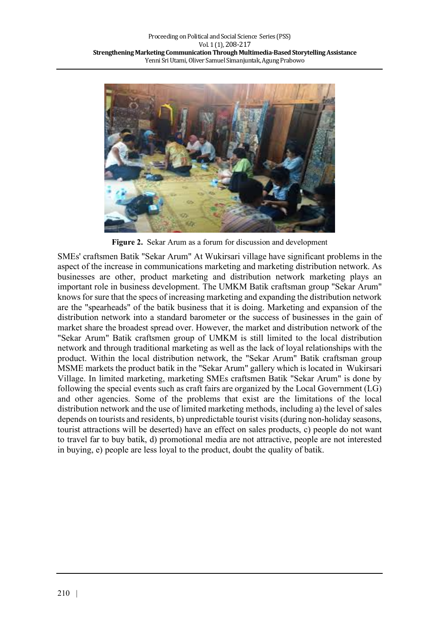

**Figure 2.** Sekar Arum as a forum for discussion and development

SMEs' craftsmen Batik "Sekar Arum" At Wukirsari village have significant problems in the aspect of the increase in communications marketing and marketing distribution network. As businesses are other, product marketing and distribution network marketing plays an important role in business development. The UMKM Batik craftsman group "Sekar Arum" knows for sure that the specs of increasing marketing and expanding the distribution network are the "spearheads" of the batik business that it is doing. Marketing and expansion of the distribution network into a standard barometer or the success of businesses in the gain of market share the broadest spread over. However, the market and distribution network of the "Sekar Arum" Batik craftsmen group of UMKM is still limited to the local distribution network and through traditional marketing as well as the lack of loyal relationships with the product. Within the local distribution network, the "Sekar Arum" Batik craftsman group MSME markets the product batik in the "Sekar Arum" gallery which is located in Wukirsari Village. In limited marketing, marketing SMEs craftsmen Batik "Sekar Arum" is done by following the special events such as craft fairs are organized by the Local Government (LG) and other agencies. Some of the problems that exist are the limitations of the local distribution network and the use of limited marketing methods, including a) the level of sales depends on tourists and residents, b) unpredictable tourist visits (during non-holiday seasons, tourist attractions will be deserted) have an effect on sales products, c) people do not want to travel far to buy batik, d) promotional media are not attractive, people are not interested in buying, e) people are less loyal to the product, doubt the quality of batik.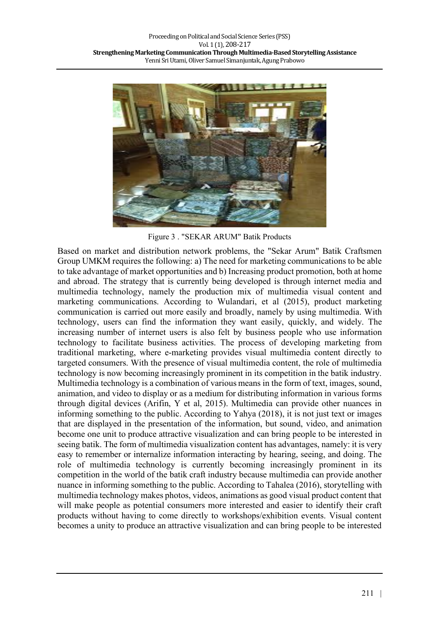

Figure 3 . "SEKAR ARUM" Batik Products

Based on market and distribution network problems, the "Sekar Arum" Batik Craftsmen Group UMKM requires the following: a) The need for marketing communications to be able to take advantage of market opportunities and b) Increasing product promotion, both at home and abroad. The strategy that is currently being developed is through internet media and multimedia technology, namely the production mix of multimedia visual content and marketing communications. According to Wulandari, et al (2015), product marketing communication is carried out more easily and broadly, namely by using multimedia. With technology, users can find the information they want easily, quickly, and widely. The increasing number of internet users is also felt by business people who use information technology to facilitate business activities. The process of developing marketing from traditional marketing, where e-marketing provides visual multimedia content directly to targeted consumers. With the presence of visual multimedia content, the role of multimedia technology is now becoming increasingly prominent in its competition in the batik industry. Multimedia technology is a combination of various means in the form of text, images, sound, animation, and video to display or as a medium for distributing information in various forms through digital devices (Arifin, Y et al, 2015). Multimedia can provide other nuances in informing something to the public. According to Yahya (2018), it is not just text or images that are displayed in the presentation of the information, but sound, video, and animation become one unit to produce attractive visualization and can bring people to be interested in seeing batik. The form of multimedia visualization content has advantages, namely: it is very easy to remember or internalize information interacting by hearing, seeing, and doing. The role of multimedia technology is currently becoming increasingly prominent in its competition in the world of the batik craft industry because multimedia can provide another nuance in informing something to the public. According to Tahalea (2016), storytelling with multimedia technology makes photos, videos, animations as good visual product content that will make people as potential consumers more interested and easier to identify their craft products without having to come directly to workshops/exhibition events. Visual content becomes a unity to produce an attractive visualization and can bring people to be interested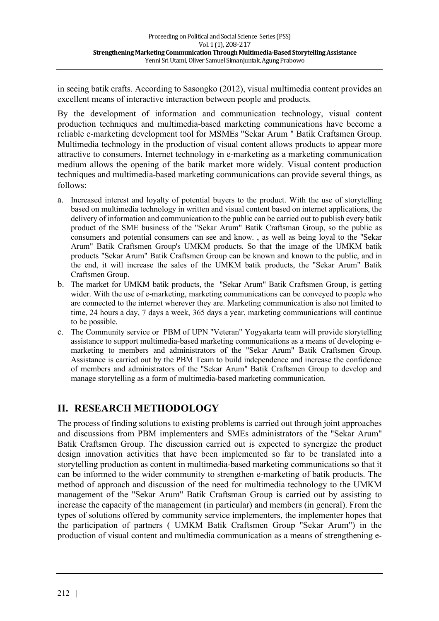in seeing batik crafts. According to Sasongko (2012), visual multimedia content provides an excellent means of interactive interaction between people and products.

By the development of information and communication technology, visual content production techniques and multimedia-based marketing communications have become a reliable e-marketing development tool for MSMEs "Sekar Arum " Batik Craftsmen Group. Multimedia technology in the production of visual content allows products to appear more attractive to consumers. Internet technology in e-marketing as a marketing communication medium allows the opening of the batik market more widely. Visual content production techniques and multimedia-based marketing communications can provide several things, as follows:

- a. Increased interest and loyalty of potential buyers to the product. With the use of storytelling based on multimedia technology in written and visual content based on internet applications, the delivery of information and communication to the public can be carried out to publish every batik product of the SME business of the "Sekar Arum" Batik Craftsman Group, so the public as consumers and potential consumers can see and know. , as well as being loyal to the "Sekar Arum" Batik Craftsmen Group's UMKM products. So that the image of the UMKM batik products "Sekar Arum" Batik Craftsmen Group can be known and known to the public, and in the end, it will increase the sales of the UMKM batik products, the "Sekar Arum" Batik Craftsmen Group.
- b. The market for UMKM batik products, the "Sekar Arum" Batik Craftsmen Group, is getting wider. With the use of e-marketing, marketing communications can be conveyed to people who are connected to the internet wherever they are. Marketing communication is also not limited to time, 24 hours a day, 7 days a week, 365 days a year, marketing communications will continue to be possible.
- c. The Community service or PBM of UPN "Veteran" Yogyakarta team will provide storytelling assistance to support multimedia-based marketing communications as a means of developing emarketing to members and administrators of the "Sekar Arum" Batik Craftsmen Group. Assistance is carried out by the PBM Team to build independence and increase the confidence of members and administrators of the "Sekar Arum" Batik Craftsmen Group to develop and manage storytelling as a form of multimedia-based marketing communication.

# **II. RESEARCH METHODOLOGY**

The process of finding solutions to existing problems is carried out through joint approaches and discussions from PBM implementers and SMEs administrators of the "Sekar Arum" Batik Craftsmen Group. The discussion carried out is expected to synergize the product design innovation activities that have been implemented so far to be translated into a storytelling production as content in multimedia-based marketing communications so that it can be informed to the wider community to strengthen e-marketing of batik products. The method of approach and discussion of the need for multimedia technology to the UMKM management of the "Sekar Arum" Batik Craftsman Group is carried out by assisting to increase the capacity of the management (in particular) and members (in general). From the types of solutions offered by community service implementers, the implementer hopes that the participation of partners ( UMKM Batik Craftsmen Group "Sekar Arum") in the production of visual content and multimedia communication as a means of strengthening e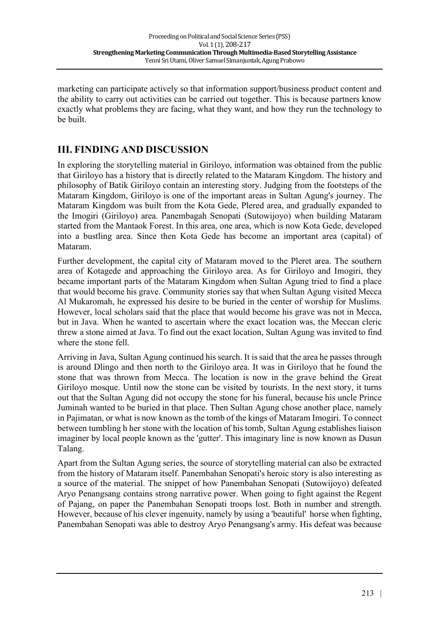marketing can participate actively so that information support/business product content and the ability to carry out activities can be carried out together. This is because partners know exactly what problems they are facing, what they want, and how they run the technology to be built.

# **III. FINDING AND DISCUSSION**

In exploring the storytelling material in Giriloyo, information was obtained from the public that Giriloyo has a history that is directly related to the Mataram Kingdom. The history and philosophy of Batik Giriloyo contain an interesting story. Judging from the footsteps of the Mataram Kingdom, Giriloyo is one of the important areas in Sultan Agung's journey. The Mataram Kingdom was built from the Kota Gede, Plered area, and gradually expanded to the Imogiri (Giriloyo) area. Panembagah Senopati (Sutowijoyo) when building Mataram started from the Mantaok Forest. In this area, one area, which is now Kota Gede, developed into a bustling area. Since then Kota Gede has become an important area (capital) of Mataram.

Further development, the capital city of Mataram moved to the Pleret area. The southern area of Kotagede and approaching the Giriloyo area. As for Giriloyo and Imogiri, they became important parts of the Mataram Kingdom when Sultan Agung tried to find a place that would become his grave. Community stories say that when Sultan Agung visited Mecca Al Mukaromah, he expressed his desire to be buried in the center of worship for Muslims. However, local scholars said that the place that would become his grave was not in Mecca, but in Java. When he wanted to ascertain where the exact location was, the Meccan cleric threw a stone aimed at Java. To find out the exact location, Sultan Agung was invited to find where the stone fell.

Arriving in Java, Sultan Agung continued his search. It is said that the area he passes through is around Dlingo and then north to the Giriloyo area. It was in Giriloyo that he found the stone that was thrown from Mecca. The location is now in the grave behind the Great Giriloyo mosque. Until now the stone can be visited by tourists. In the next story, it turns out that the Sultan Agung did not occupy the stone for his funeral, because his uncle Prince Juminah wanted to be buried in that place. Then Sultan Agung chose another place, namely in Pajimatan, or what is now known as the tomb of the kings of Mataram Imogiri. To connect between tumbling h her stone with the location of his tomb, Sultan Agung establishes liaison imaginer by local people known as the 'gutter'. This imaginary line is now known as Dusun Talang.

Apart from the Sultan Agung series, the source of storytelling material can also be extracted from the history of Mataram itself. Panembahan Senopati's heroic story is also interesting as a source of the material. The snippet of how Panembahan Senopati (Sutowijoyo) defeated Aryo Penangsang contains strong narrative power. When going to fight against the Regent of Pajang, on paper the Panembahan Senopati troops lost. Both in number and strength. However, because of his clever ingenuity, namely by using a 'beautiful' horse when fighting, Panembahan Senopati was able to destroy Aryo Penangsang's army. His defeat was because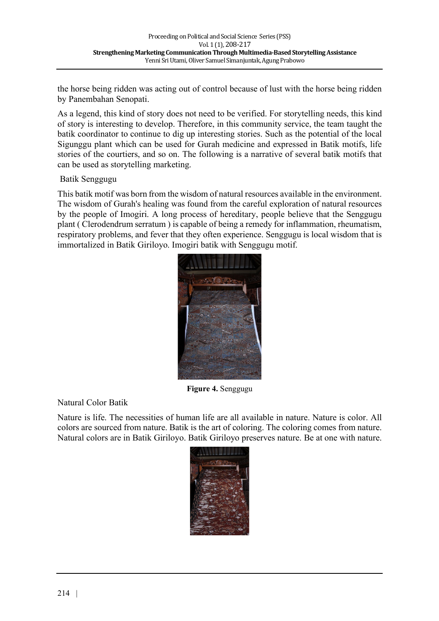the horse being ridden was acting out of control because of lust with the horse being ridden by Panembahan Senopati.

As a legend, this kind of story does not need to be verified. For storytelling needs, this kind of story is interesting to develop. Therefore, in this community service, the team taught the batik coordinator to continue to dig up interesting stories. Such as the potential of the local Sigunggu plant which can be used for Gurah medicine and expressed in Batik motifs, life stories of the courtiers, and so on. The following is a narrative of several batik motifs that can be used as storytelling marketing.

Batik Senggugu

This batik motif was born from the wisdom of natural resources available in the environment. The wisdom of Gurah's healing was found from the careful exploration of natural resources by the people of Imogiri. A long process of hereditary, people believe that the Senggugu plant ( Clerodendrum serratum ) is capable of being a remedy for inflammation, rheumatism, respiratory problems, and fever that they often experience. Senggugu is local wisdom that is immortalized in Batik Giriloyo. Imogiri batik with Senggugu motif.



**Figure 4.** Senggugu

Natural Color Batik

Nature is life. The necessities of human life are all available in nature. Nature is color. All colors are sourced from nature. Batik is the art of coloring. The coloring comes from nature. Natural colors are in Batik Giriloyo. Batik Giriloyo preserves nature. Be at one with nature.

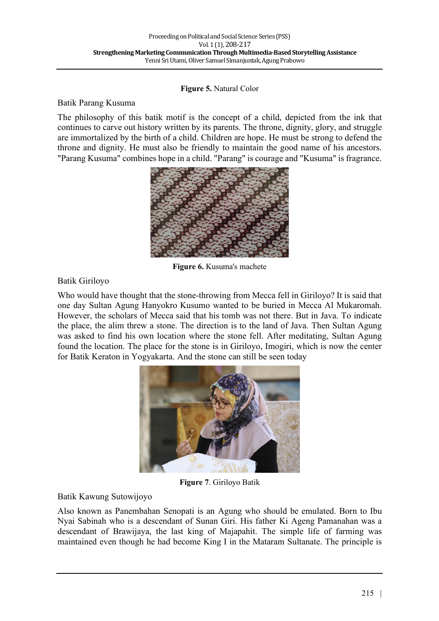#### **Figure 5.** Natural Color

#### Batik Parang Kusuma

The philosophy of this batik motif is the concept of a child, depicted from the ink that continues to carve out history written by its parents. The throne, dignity, glory, and struggle are immortalized by the birth of a child. Children are hope. He must be strong to defend the throne and dignity. He must also be friendly to maintain the good name of his ancestors. "Parang Kusuma" combines hope in a child. "Parang" is courage and "Kusuma" is fragrance.



**Figure 6.** Kusuma's machete

### Batik Giriloyo

Who would have thought that the stone-throwing from Mecca fell in Giriloyo? It is said that one day Sultan Agung Hanyokro Kusumo wanted to be buried in Mecca Al Mukaromah. However, the scholars of Mecca said that his tomb was not there. But in Java. To indicate the place, the alim threw a stone. The direction is to the land of Java. Then Sultan Agung was asked to find his own location where the stone fell. After meditating, Sultan Agung found the location. The place for the stone is in Giriloyo, Imogiri, which is now the center for Batik Keraton in Yogyakarta. And the stone can still be seen today



**Figure 7**. Giriloyo Batik

#### Batik Kawung Sutowijoyo

Also known as Panembahan Senopati is an Agung who should be emulated. Born to Ibu Nyai Sabinah who is a descendant of Sunan Giri. His father Ki Ageng Pamanahan was a descendant of Brawijaya, the last king of Majapahit. The simple life of farming was maintained even though he had become King I in the Mataram Sultanate. The principle is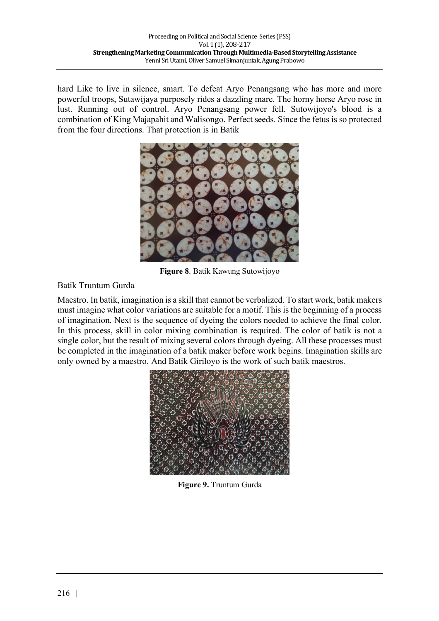hard Like to live in silence, smart. To defeat Aryo Penangsang who has more and more powerful troops, Sutawijaya purposely rides a dazzling mare. The horny horse Aryo rose in lust. Running out of control. Aryo Penangsang power fell. Sutowijoyo's blood is a combination of King Majapahit and Walisongo. Perfect seeds. Since the fetus is so protected from the four directions. That protection is in Batik



**Figure 8**. Batik Kawung Sutowijoyo

### Batik Truntum Gurda

Maestro. In batik, imagination is a skill that cannot be verbalized. To start work, batik makers must imagine what color variations are suitable for a motif. This is the beginning of a process of imagination. Next is the sequence of dyeing the colors needed to achieve the final color. In this process, skill in color mixing combination is required. The color of batik is not a single color, but the result of mixing several colors through dyeing. All these processes must be completed in the imagination of a batik maker before work begins. Imagination skills are only owned by a maestro. And Batik Giriloyo is the work of such batik maestros.



**Figure 9.** Truntum Gurda